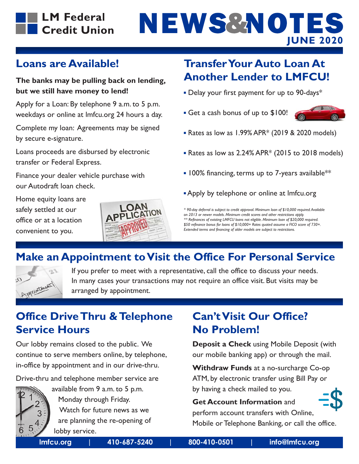

# **NEWS&NOTES JUNE 2020**

#### **Loans are Available!**

#### **The banks may be pulling back on lending, but we still have money to lend!**

Apply for a Loan: By telephone 9 a.m. to 5 p.m. weekdays or online at lmfcu.org 24 hours a day.

Complete my loan: Agreements may be signed by secure e-signature.

Loans proceeds are disbursed by electronic transfer or Federal Express.

Finance your dealer vehicle purchase with our Autodraft loan check.

Home equity loans are safely settled at our office or at a location convenient to you.



## **Transfer Your Auto Loan At Another Lender to LMFCU!**

- Delay your first payment for up to 90-days<sup>\*</sup>
- Get a cash bonus of up to \$100!



- $\blacksquare$  Rates as low as 1.99% APR\* (2019 & 2020 models)
- $\blacksquare$  Rates as low as 2.24% APR\* (2015 to 2018 models)
- $\blacksquare$  100% financing, terms up to 7-years available<sup>\*\*</sup>
- Apply by telephone or online at lmfcu.org

*\* 90-day deferral is subject to credit approval. Minimum loan of \$10,000 required. Available on 2013 or newer models. Minimum credit scores and other restrictions apply. \*\* Refinances of existing LMFCU loans not eligible. Minimum loan of \$20,000 required. \$50 refinance bonus for loans of \$10,000+ Rates quoted assume a FICO score of 730+. Extended terms and financing of older models are subject to restrictions.*

## **Make an Appointment to Visit the Office For Personal Service**



If you prefer to meet with a representative, call the office to discuss your needs. In many cases your transactions may not require an office visit. But visits may be arranged by appointment.

## **Office Drive Thru & Telephone Service Hours**

Our lobby remains closed to the public. We continue to serve members online, by telephone, in-office by appointment and in our drive-thru.

Drive-thru and telephone member service are



 available from 9 a.m. to 5 p.m. Monday through Friday. Watch for future news as we are planning the re-opening of lobby service.

# **Can't Visit Our Office? No Problem!**

**Deposit a Check** using Mobile Deposit (with our mobile banking app) or through the mail.

**Withdraw Funds** at a no-surcharge Co-op ATM, by electronic transfer using Bill Pay or by having a check mailed to you.

#### **Get Account Information** and

perform account transfers with Online,



Mobile or Telephone Banking, or call the office.